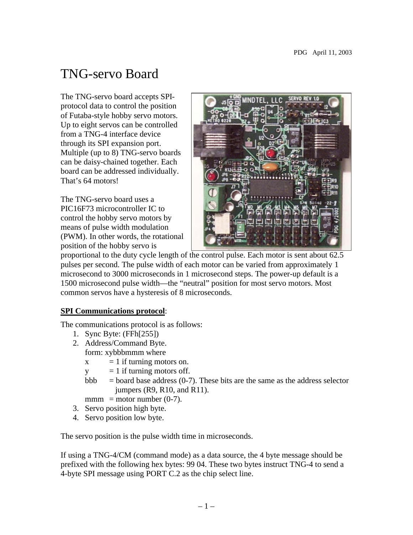# TNG-servo Board

The TNG-servo board accepts SPIprotocol data to control the position of Futaba-style hobby servo motors. Up to eight servos can be controlled from a TNG-4 interface device through its SPI expansion port. Multiple (up to 8) TNG-servo boards can be daisy-chained together. Each board can be addressed individually. That's 64 motors!

The TNG-servo board uses a PIC16F73 microcontroller IC to control the hobby servo motors by means of pulse width modulation (PWM). In other words, the rotational position of the hobby servo is



proportional to the duty cycle length of the control pulse. Each motor is sent about 62.5 pulses per second. The pulse width of each motor can be varied from approximately 1 microsecond to 3000 microseconds in 1 microsecond steps. The power-up default is a 1500 microsecond pulse width—the "neutral" position for most servo motors. Most common servos have a hysteresis of 8 microseconds.

#### **SPI Communications protocol**:

The communications protocol is as follows:

- 1. Sync Byte: (FFh[255])
- 2. Address/Command Byte. form: xybbbmmm where
	- $x = 1$  if turning motors on.
	- $y = 1$  if turning motors off.
	- bbb  $=$  board base address (0-7). These bits are the same as the address selector jumpers (R9, R10, and R11).
	- $mmm = motor number (0-7)$ .
- 3. Servo position high byte.
- 4. Servo position low byte.

The servo position is the pulse width time in microseconds.

If using a TNG-4/CM (command mode) as a data source, the 4 byte message should be prefixed with the following hex bytes: 99 04. These two bytes instruct TNG-4 to send a 4-byte SPI message using PORT C.2 as the chip select line.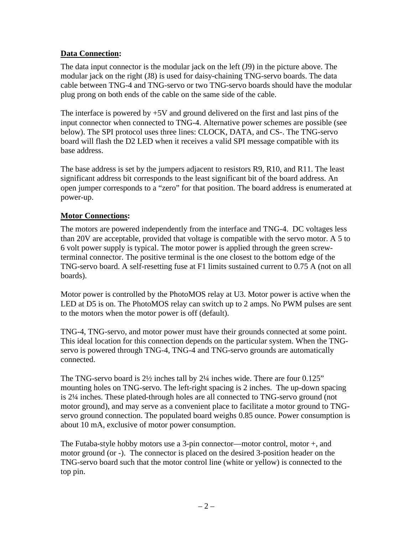## **Data Connection:**

The data input connector is the modular jack on the left (J9) in the picture above. The modular jack on the right (J8) is used for daisy-chaining TNG-servo boards. The data cable between TNG-4 and TNG-servo or two TNG-servo boards should have the modular plug prong on both ends of the cable on the same side of the cable.

The interface is powered by  $+5V$  and ground delivered on the first and last pins of the input connector when connected to TNG-4. Alternative power schemes are possible (see below). The SPI protocol uses three lines: CLOCK, DATA, and CS-. The TNG-servo board will flash the D2 LED when it receives a valid SPI message compatible with its base address.

The base address is set by the jumpers adjacent to resistors R9, R10, and R11. The least significant address bit corresponds to the least significant bit of the board address. An open jumper corresponds to a "zero" for that position. The board address is enumerated at power-up.

#### **Motor Connections:**

The motors are powered independently from the interface and TNG-4. DC voltages less than 20V are acceptable, provided that voltage is compatible with the servo motor. A 5 to 6 volt power supply is typical. The motor power is applied through the green screwterminal connector. The positive terminal is the one closest to the bottom edge of the TNG-servo board. A self-resetting fuse at F1 limits sustained current to 0.75 A (not on all boards).

Motor power is controlled by the PhotoMOS relay at U3. Motor power is active when the LED at D5 is on. The PhotoMOS relay can switch up to 2 amps. No PWM pulses are sent to the motors when the motor power is off (default).

TNG-4, TNG-servo, and motor power must have their grounds connected at some point. This ideal location for this connection depends on the particular system. When the TNGservo is powered through TNG-4, TNG-4 and TNG-servo grounds are automatically connected.

The TNG-servo board is  $2\frac{1}{2}$  inches tall by  $2\frac{1}{4}$  inches wide. There are four 0.125" mounting holes on TNG-servo. The left-right spacing is 2 inches. The up-down spacing is 2¼ inches. These plated-through holes are all connected to TNG-servo ground (not motor ground), and may serve as a convenient place to facilitate a motor ground to TNGservo ground connection. The populated board weighs 0.85 ounce. Power consumption is about 10 mA, exclusive of motor power consumption.

The Futaba-style hobby motors use a 3-pin connector—motor control, motor +, and motor ground (or -). The connector is placed on the desired 3-position header on the TNG-servo board such that the motor control line (white or yellow) is connected to the top pin.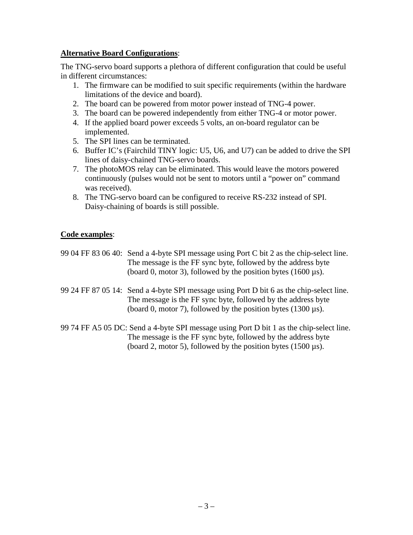#### **Alternative Board Configurations**:

The TNG-servo board supports a plethora of different configuration that could be useful in different circumstances:

- 1. The firmware can be modified to suit specific requirements (within the hardware limitations of the device and board).
- 2. The board can be powered from motor power instead of TNG-4 power.
- 3. The board can be powered independently from either TNG-4 or motor power.
- 4. If the applied board power exceeds 5 volts, an on-board regulator can be implemented.
- 5. The SPI lines can be terminated.
- 6. Buffer IC's (Fairchild TINY logic: U5, U6, and U7) can be added to drive the SPI lines of daisy-chained TNG-servo boards.
- 7. The photoMOS relay can be eliminated. This would leave the motors powered continuously (pulses would not be sent to motors until a "power on" command was received).
- 8. The TNG-servo board can be configured to receive RS-232 instead of SPI. Daisy-chaining of boards is still possible.

#### **Code examples**:

- 99 04 FF 83 06 40: Send a 4-byte SPI message using Port C bit 2 as the chip-select line. The message is the FF sync byte, followed by the address byte (board 0, motor 3), followed by the position bytes  $(1600 \,\mu s)$ .
- 99 24 FF 87 05 14: Send a 4-byte SPI message using Port D bit 6 as the chip-select line. The message is the FF sync byte, followed by the address byte (board 0, motor 7), followed by the position bytes  $(1300 \mu s)$ .
- 99 74 FF A5 05 DC: Send a 4-byte SPI message using Port D bit 1 as the chip-select line. The message is the FF sync byte, followed by the address byte (board 2, motor 5), followed by the position bytes (1500 µs).